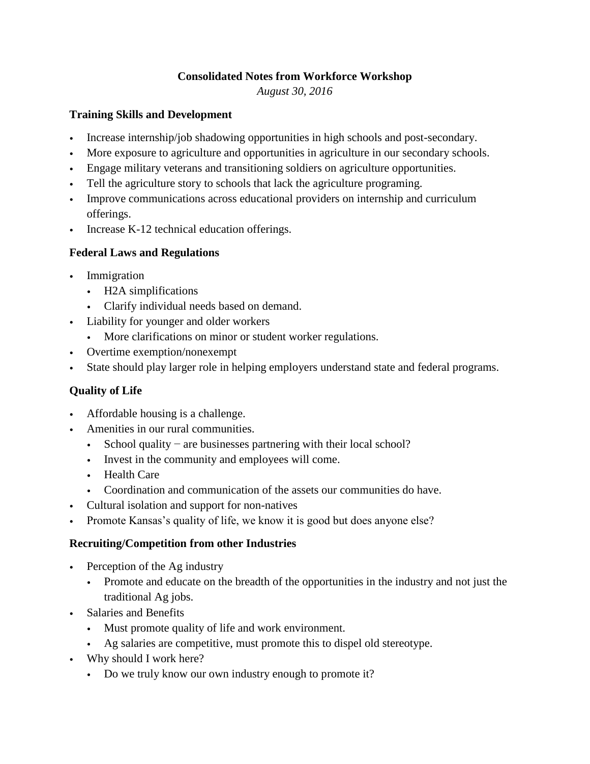#### **Consolidated Notes from Workforce Workshop**

*August 30, 2016*

#### **Training Skills and Development**

- Increase internship/job shadowing opportunities in high schools and post-secondary.
- More exposure to agriculture and opportunities in agriculture in our secondary schools.
- Engage military veterans and transitioning soldiers on agriculture opportunities.
- Tell the agriculture story to schools that lack the agriculture programing.
- Improve communications across educational providers on internship and curriculum offerings.
- Increase K-12 technical education offerings.

## **Federal Laws and Regulations**

- Immigration
	- H2A simplifications
	- Clarify individual needs based on demand.
- Liability for younger and older workers
	- More clarifications on minor or student worker regulations.
- Overtime exemption/nonexempt
- State should play larger role in helping employers understand state and federal programs.

# **Quality of Life**

- Affordable housing is a challenge.
- Amenities in our rural communities.
	- School quality are businesses partnering with their local school?
	- Invest in the community and employees will come.
	- Health Care
	- Coordination and communication of the assets our communities do have.
- Cultural isolation and support for non-natives
- Promote Kansas's quality of life, we know it is good but does anyone else?

## **Recruiting/Competition from other Industries**

- Perception of the Ag industry
	- Promote and educate on the breadth of the opportunities in the industry and not just the traditional Ag jobs.
- Salaries and Benefits
	- Must promote quality of life and work environment.
	- Ag salaries are competitive, must promote this to dispel old stereotype.
- Why should I work here?
	- Do we truly know our own industry enough to promote it?